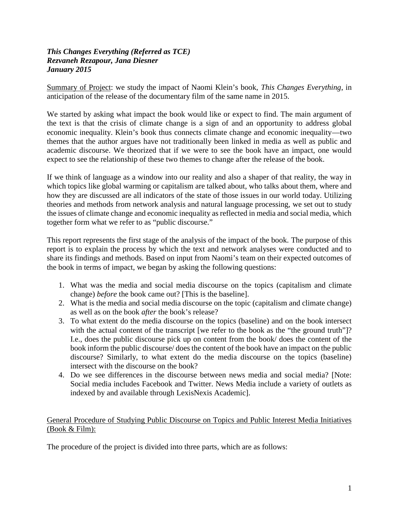#### *This Changes Everything (Referred as TCE) Rezvaneh Rezapour, Jana Diesner January 2015*

Summary of Project: we study the impact of Naomi Klein's book, *This Changes Everything*, in anticipation of the release of the documentary film of the same name in 2015.

We started by asking what impact the book would like or expect to find. The main argument of the text is that the crisis of climate change is a sign of and an opportunity to address global economic inequality. Klein's book thus connects climate change and economic inequality—two themes that the author argues have not traditionally been linked in media as well as public and academic discourse. We theorized that if we were to see the book have an impact, one would expect to see the relationship of these two themes to change after the release of the book.

If we think of language as a window into our reality and also a shaper of that reality, the way in which topics like global warming or capitalism are talked about, who talks about them, where and how they are discussed are all indicators of the state of those issues in our world today. Utilizing theories and methods from network analysis and natural language processing, we set out to study the issues of climate change and economic inequality as reflected in media and social media, which together form what we refer to as "public discourse."

This report represents the first stage of the analysis of the impact of the book. The purpose of this report is to explain the process by which the text and network analyses were conducted and to share its findings and methods. Based on input from Naomi's team on their expected outcomes of the book in terms of impact, we began by asking the following questions:

- 1. What was the media and social media discourse on the topics (capitalism and climate change) *before* the book came out? [This is the baseline].
- 2. What is the media and social media discourse on the topic (capitalism and climate change) as well as on the book *after* the book's release?
- 3. To what extent do the media discourse on the topics (baseline) and on the book intersect with the actual content of the transcript [we refer to the book as the "the ground truth"]? I.e., does the public discourse pick up on content from the book/ does the content of the book inform the public discourse/ does the content of the book have an impact on the public discourse? Similarly, to what extent do the media discourse on the topics (baseline) intersect with the discourse on the book?
- 4. Do we see differences in the discourse between news media and social media? [Note: Social media includes Facebook and Twitter. News Media include a variety of outlets as indexed by and available through LexisNexis Academic].

#### General Procedure of Studying Public Discourse on Topics and Public Interest Media Initiatives (Book & Film):

The procedure of the project is divided into three parts, which are as follows: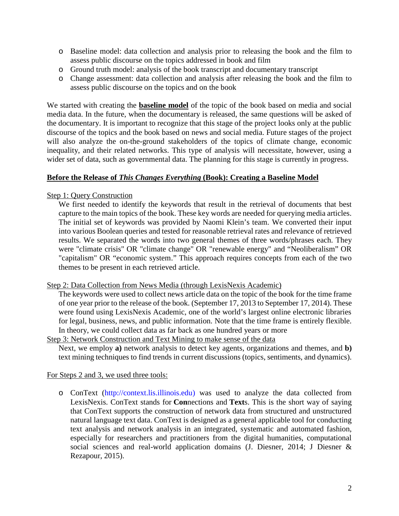- o Baseline model: data collection and analysis prior to releasing the book and the film to assess public discourse on the topics addressed in book and film
- o Ground truth model: analysis of the book transcript and documentary transcript
- o Change assessment: data collection and analysis after releasing the book and the film to assess public discourse on the topics and on the book

We started with creating the **baseline model** of the topic of the book based on media and social media data. In the future, when the documentary is released, the same questions will be asked of the documentary. It is important to recognize that this stage of the project looks only at the public discourse of the topics and the book based on news and social media. Future stages of the project will also analyze the on-the-ground stakeholders of the topics of climate change, economic inequality, and their related networks. This type of analysis will necessitate, however, using a wider set of data, such as governmental data. The planning for this stage is currently in progress.

#### **Before the Release of** *This Changes Everything* **(Book): Creating a Baseline Model**

#### Step 1: Query Construction

We first needed to identify the keywords that result in the retrieval of documents that best capture to the main topics of the book. These key words are needed for querying media articles. The initial set of keywords was provided by Naomi Klein's team. We converted their input into various Boolean queries and tested for reasonable retrieval rates and relevance of retrieved results. We separated the words into two general themes of three words/phrases each. They were "climate crisis" OR "climate change" OR "renewable energy" and "Neoliberalism" OR "capitalism" OR "economic system." This approach requires concepts from each of the two themes to be present in each retrieved article.

#### Step 2: Data Collection from News Media (through LexisNexis Academic)

The keywords were used to collect news article data on the topic of the book for the time frame of one year prior to the release of the book. (September 17, 2013 to September 17, 2014). These were found using LexisNexis Academic, one of the world's largest online electronic libraries for legal, business, news, and public information. Note that the time frame is entirely flexible. In theory, we could collect data as far back as one hundred years or more

#### Step 3: Network Construction and Text Mining to make sense of the data

Next, we employ **a)** network analysis to detect key agents, organizations and themes, and **b)** text mining techniques to find trends in current discussions (topics, sentiments, and dynamics).

#### For Steps 2 and 3, we used three tools:

o ConText (http://context.lis.illinois.edu) was used to analyze the data collected from LexisNexis. ConText stands for **Con**nections and **Text**s. This is the short way of saying that ConText supports the construction of network data from structured and unstructured natural language text data. ConText is designed as a general applicable tool for conducting text analysis and network analysis in an integrated, systematic and automated fashion, especially for researchers and practitioners from the digital humanities, computational social sciences and real-world application domains (J. Diesner, 2014; J Diesner & Rezapour, 2015).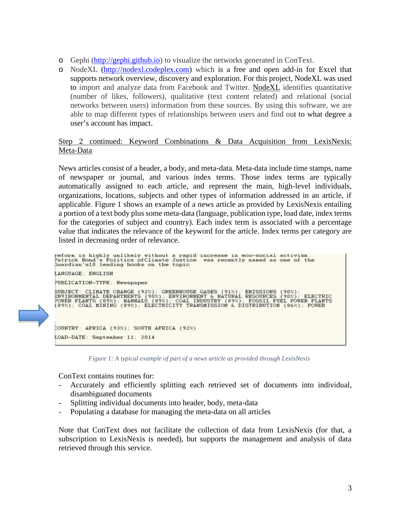- o Gephi (http://gephi.github.io) to visualize the networks generated in ConText.
- o NodeXL (http://nodexl.codeplex.com) which is a free and open add-in for Excel that supports network overview, discovery and exploration. For this project, NodeXL was used to import and analyze data from Facebook and Twitter. NodeXL identifies quantitative (number of likes, followers), qualitative (text content related) and relational (social networks between users) information from these sources. By using this software, we are able to map different types of relationships between users and find out to what degree a user's account has impact.

#### Step 2 continued: Keyword Combinations & Data Acquisition from LexisNexis: Meta-Data

News articles consist of a header, a body, and meta-data. Meta-data include time stamps, name of newspaper or journal, and various index terms. Those index terms are typically automatically assigned to each article, and represent the main, high-level individuals, organizations, locations, subjects and other types of information addressed in an article, if applicable. Figure 1 shows an example of a news article as provided by LexisNexis entailing a portion of a text body plus some meta-data (language, publication type, load date, index terms for the categories of subject and country). Each index term is associated with a percentage value that indicates the relevance of the keyword for the article. Index terms per category are listed in decreasing order of relevance.

reform is highly unlikely without a rapid increase in eco-social activism.<br>Patrick Bond's Politics ofClimate Justice was recently named as one of the<br>Guardian's10 leading books on the topic ANGUAGE: ENGLISH UBLICATION-TYPE: Newspaper SUBJECT: CLIMATE CHANGE (92%); GREENHOUSE GASES (91%); EMISSIONS (90%);<br>ENVIRONMENTAL DEPARTMENTS (90%); ENVIRONMENT & NATURAL RESOURCES (90%); ELECTRIC<br>POWER PLANTS (89%); MAMMALS (89%); COAL INDUSTRY (89%); FOSSIL FUEL P COUNTRY: AFRICA (93%); SOUTH AFRICA (92%) OAD-DATE: September 11, 2014

*Figure 1: A typical example of part of a news article as provided through LexisNexis*

ConText contains routines for:

- Accurately and efficiently splitting each retrieved set of documents into individual, disambiguated documents
- Splitting individual documents into header, body, meta-data
- Populating a database for managing the meta-data on all articles

Note that ConText does not facilitate the collection of data from LexisNexis (for that, a subscription to LexisNexis is needed), but supports the management and analysis of data retrieved through this service.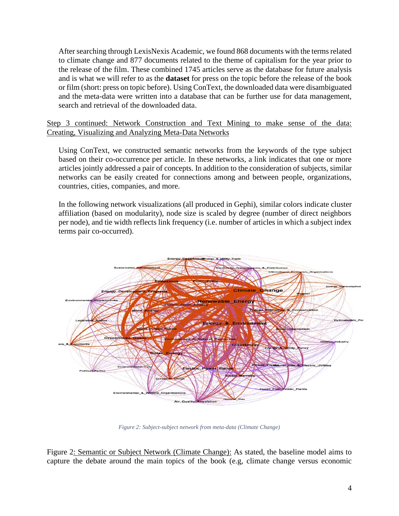After searching through LexisNexis Academic, we found 868 documents with the terms related to climate change and 877 documents related to the theme of capitalism for the year prior to the release of the film. These combined 1745 articles serve as the database for future analysis and is what we will refer to as the **dataset** for press on the topic before the release of the book or film (short: press on topic before). Using ConText, the downloaded data were disambiguated and the meta-data were written into a database that can be further use for data management, search and retrieval of the downloaded data.

Step 3 continued: Network Construction and Text Mining to make sense of the data: Creating, Visualizing and Analyzing Meta-Data Networks

Using ConText, we constructed semantic networks from the keywords of the type subject based on their co-occurrence per article. In these networks, a link indicates that one or more articles jointly addressed a pair of concepts. In addition to the consideration of subjects, similar networks can be easily created for connections among and between people, organizations, countries, cities, companies, and more.

In the following network visualizations (all produced in Gephi), similar colors indicate cluster affiliation (based on modularity), node size is scaled by degree (number of direct neighbors per node), and tie width reflects link frequency (i.e. number of articles in which a subject index terms pair co-occurred).



*Figure 2: Subject-subject network from meta-data (Climate Change)*

Figure 2: Semantic or Subject Network (Climate Change): As stated, the baseline model aims to capture the debate around the main topics of the book (e.g, climate change versus economic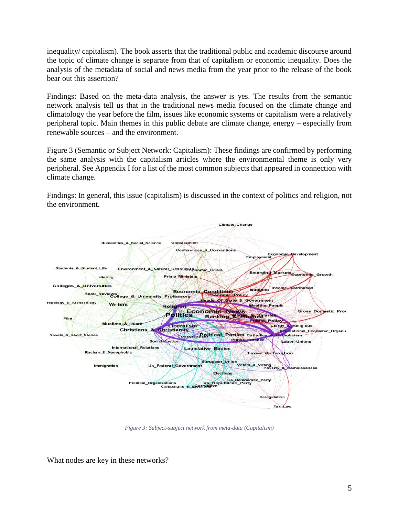inequality/ capitalism). The book asserts that the traditional public and academic discourse around the topic of climate change is separate from that of capitalism or economic inequality. Does the analysis of the metadata of social and news media from the year prior to the release of the book bear out this assertion?

Findings: Based on the meta-data analysis, the answer is yes. The results from the semantic network analysis tell us that in the traditional news media focused on the climate change and climatology the year before the film, issues like economic systems or capitalism were a relatively peripheral topic. Main themes in this public debate are climate change, energy – especially from renewable sources – and the environment.

Figure 3 (Semantic or Subject Network: Capitalism): These findings are confirmed by performing the same analysis with the capitalism articles where the environmental theme is only very peripheral. See Appendix I for a list of the most common subjects that appeared in connection with climate change.

Findings: In general, this issue (capitalism) is discussed in the context of politics and religion, not the environment.



*Figure 3: Subject-subject network from meta-data (Capitalism)*

What nodes are key in these networks?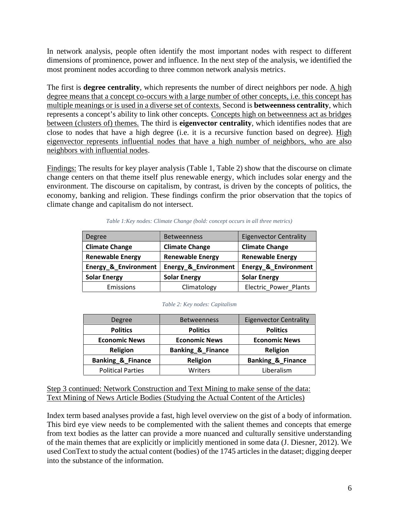In network analysis, people often identify the most important nodes with respect to different dimensions of prominence, power and influence. In the next step of the analysis, we identified the most prominent nodes according to three common network analysis metrics.

The first is **degree centrality**, which represents the number of direct neighbors per node. A high degree means that a concept co-occurs with a large number of other concepts, i.e. this concept has multiple meanings or is used in a diverse set of contexts. Second is **betweenness centrality**, which represents a concept's ability to link other concepts. Concepts high on betweenness act as bridges between (clusters of) themes. The third is **eigenvector centrality**, which identifies nodes that are close to nodes that have a high degree (i.e. it is a recursive function based on degree). High eigenvector represents influential nodes that have a high number of neighbors, who are also neighbors with influential nodes.

Findings: The results for key player analysis (Table 1, Table 2) show that the discourse on climate change centers on that theme itself plus renewable energy, which includes solar energy and the environment. The discourse on capitalism, by contrast, is driven by the concepts of politics, the economy, banking and religion. These findings confirm the prior observation that the topics of climate change and capitalism do not intersect.

| <b>Degree</b>           | <b>Betweenness</b>      | <b>Eigenvector Centrality</b> |
|-------------------------|-------------------------|-------------------------------|
| <b>Climate Change</b>   | <b>Climate Change</b>   | <b>Climate Change</b>         |
| <b>Renewable Energy</b> | <b>Renewable Energy</b> | <b>Renewable Energy</b>       |
| Energy_&_Environment    | Energy_&_Environment    | Energy_&_Environment          |
| <b>Solar Energy</b>     | <b>Solar Energy</b>     | <b>Solar Energy</b>           |
| Emissions               | Climatology             | Electric Power Plants         |

*Table 1:Key nodes: Climate Change (bold: concept occurs in all three metrics)*

#### *Table 2: Key nodes: Capitalism*

| Degree                       | <b>Betweenness</b>           | <b>Eigenvector Centrality</b> |
|------------------------------|------------------------------|-------------------------------|
| <b>Politics</b>              | <b>Politics</b>              | <b>Politics</b>               |
| <b>Economic News</b>         | <b>Economic News</b>         | <b>Economic News</b>          |
| Religion                     | <b>Banking &amp; Finance</b> | <b>Religion</b>               |
| <b>Banking &amp; Finance</b> | Religion                     | <b>Banking &amp; Finance</b>  |
| <b>Political Parties</b>     | Writers                      | Liberalism                    |

Step 3 continued: Network Construction and Text Mining to make sense of the data: Text Mining of News Article Bodies (Studying the Actual Content of the Articles)

Index term based analyses provide a fast, high level overview on the gist of a body of information. This bird eye view needs to be complemented with the salient themes and concepts that emerge from text bodies as the latter can provide a more nuanced and culturally sensitive understanding of the main themes that are explicitly or implicitly mentioned in some data (J. Diesner, 2012). We used ConText to study the actual content (bodies) of the 1745 articles in the dataset; digging deeper into the substance of the information.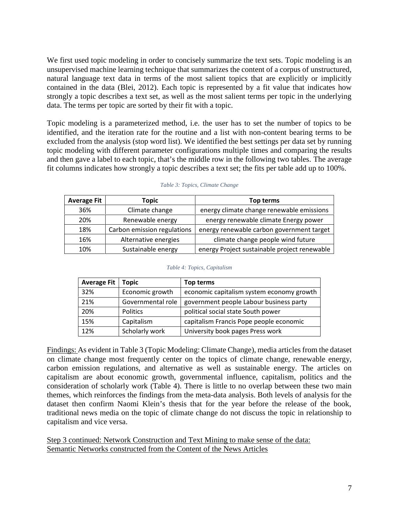We first used topic modeling in order to concisely summarize the text sets. Topic modeling is an unsupervised machine learning technique that summarizes the content of a corpus of unstructured, natural language text data in terms of the most salient topics that are explicitly or implicitly contained in the data (Blei, 2012). Each topic is represented by a fit value that indicates how strongly a topic describes a text set, as well as the most salient terms per topic in the underlying data. The terms per topic are sorted by their fit with a topic.

Topic modeling is a parameterized method, i.e. the user has to set the number of topics to be identified, and the iteration rate for the routine and a list with non-content bearing terms to be excluded from the analysis (stop word list). We identified the best settings per data set by running topic modeling with different parameter configurations multiple times and comparing the results and then gave a label to each topic, that's the middle row in the following two tables. The average fit columns indicates how strongly a topic describes a text set; the fits per table add up to 100%.

| <b>Average Fit</b> | Topic                       | Top terms                                    |
|--------------------|-----------------------------|----------------------------------------------|
| 36%                | Climate change              | energy climate change renewable emissions    |
| 20%                | Renewable energy            | energy renewable climate Energy power        |
| 18%                | Carbon emission regulations | energy renewable carbon government target    |
| 16%                | Alternative energies        | climate change people wind future            |
| 10%                | Sustainable energy          | energy Project sustainable project renewable |

|  | Table 4: Topics, Capitalism |  |
|--|-----------------------------|--|
|  |                             |  |

| <b>Average Fit</b> | <b>Topic</b>      | Top terms                                 |
|--------------------|-------------------|-------------------------------------------|
| 32%                | Economic growth   | economic capitalism system economy growth |
| 21%                | Governmental role | government people Labour business party   |
| 20%                | <b>Politics</b>   | political social state South power        |
| 15%                | Capitalism        | capitalism Francis Pope people economic   |
| 12%                | Scholarly work    | University book pages Press work          |

Findings: As evident in Table 3 (Topic Modeling: Climate Change), media articles from the dataset on climate change most frequently center on the topics of climate change, renewable energy, carbon emission regulations, and alternative as well as sustainable energy. The articles on capitalism are about economic growth, governmental influence, capitalism, politics and the consideration of scholarly work (Table 4). There is little to no overlap between these two main themes, which reinforces the findings from the meta-data analysis. Both levels of analysis for the dataset then confirm Naomi Klein's thesis that for the year before the release of the book, traditional news media on the topic of climate change do not discuss the topic in relationship to capitalism and vice versa.

Step 3 continued: Network Construction and Text Mining to make sense of the data: Semantic Networks constructed from the Content of the News Articles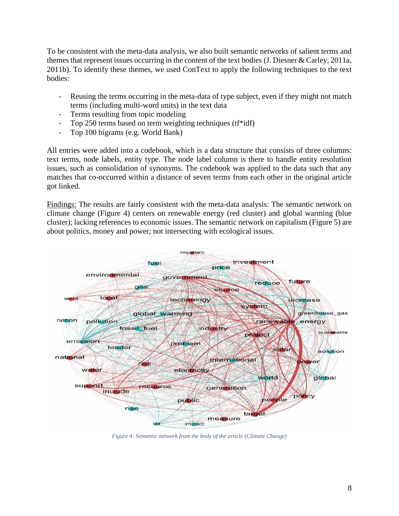To be consistent with the meta-data analysis, we also built semantic networks of salient terms and themes that represent issues occurring in the content of the text bodies (J. Diesner & Carley, 2011a, 2011b). To identify these themes, we used ConText to apply the following techniques to the text bodies:

- Reusing the terms occurring in the meta-data of type subject, even if they might not match terms (including multi-word units) in the text data
- Terms resulting from topic modeling
- Top 250 terms based on term weighting techniques (tf\*idf)
- Top 100 bigrams (e.g. World Bank)

All entries were added into a codebook, which is a data structure that consists of three columns: text terms, node labels, entity type. The node label column is there to handle entity resolution issues, such as consolidation of synonyms. The codebook was applied to the data such that any matches that co-occurred within a distance of seven terms from each other in the original article got linked.

Findings: The results are fairly consistent with the meta-data analysis: The semantic network on climate change (Figure 4) centers on renewable energy (red cluster) and global warming (blue cluster); lacking references to economic issues. The semantic network on capitalism (Figure 5) are about politics, money and power; not intersecting with ecological issues.



*Figure 4: Semantic network from the body of the article (Climate Change)*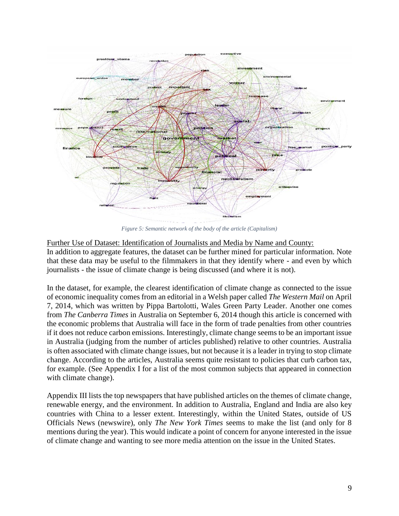

*Figure 5: Semantic network of the body of the article (Capitalism)*

Further Use of Dataset: Identification of Journalists and Media by Name and County:

In addition to aggregate features, the dataset can be further mined for particular information. Note that these data may be useful to the filmmakers in that they identify where - and even by which journalists - the issue of climate change is being discussed (and where it is not).

In the dataset, for example, the clearest identification of climate change as connected to the issue of economic inequality comes from an editorial in a Welsh paper called *The Western Mail* on April 7, 2014, which was written by Pippa Bartolotti, Wales Green Party Leader. Another one comes from *The Canberra Times* in Australia on September 6, 2014 though this article is concerned with the economic problems that Australia will face in the form of trade penalties from other countries if it does not reduce carbon emissions. Interestingly, climate change seems to be an important issue in Australia (judging from the number of articles published) relative to other countries. Australia is often associated with climate change issues, but not because it is a leader in trying to stop climate change. According to the articles, Australia seems quite resistant to policies that curb carbon tax, for example. (See Appendix I for a list of the most common subjects that appeared in connection with climate change).

Appendix III lists the top newspapers that have published articles on the themes of climate change, renewable energy, and the environment. In addition to Australia, England and India are also key countries with China to a lesser extent. Interestingly, within the United States, outside of US Officials News (newswire), only *The New York Times* seems to make the list (and only for 8 mentions during the year). This would indicate a point of concern for anyone interested in the issue of climate change and wanting to see more media attention on the issue in the United States.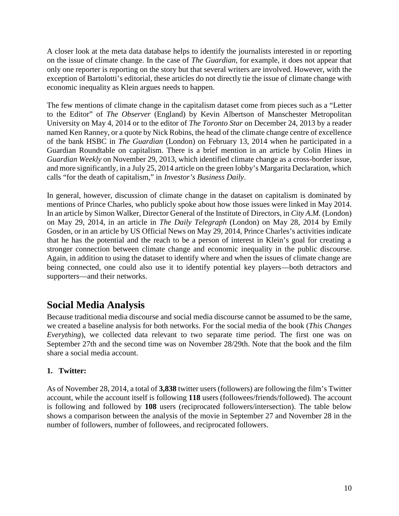A closer look at the meta data database helps to identify the journalists interested in or reporting on the issue of climate change. In the case of *The Guardian*, for example, it does not appear that only one reporter is reporting on the story but that several writers are involved. However, with the exception of Bartolotti's editorial, these articles do not directly tie the issue of climate change with economic inequality as Klein argues needs to happen.

The few mentions of climate change in the capitalism dataset come from pieces such as a "Letter to the Editor" of *The Observer* (England) by Kevin Albertson of Manschester Metropolitan University on May 4, 2014 or to the editor of *The Toronto Star* on December 24, 2013 by a reader named Ken Ranney, or a quote by Nick Robins, the head of the climate change centre of excellence of the bank HSBC in *The Guardian* (London) on February 13, 2014 when he participated in a Guardian Roundtable on capitalism. There is a brief mention in an article by Colin Hines in *Guardian Weekly* on November 29, 2013, which identified climate change as a cross-border issue, and more significantly, in a July 25, 2014 article on the green lobby's Margarita Declaration, which calls "for the death of capitalism," in *Investor's Business Daily*.

In general, however, discussion of climate change in the dataset on capitalism is dominated by mentions of Prince Charles, who publicly spoke about how those issues were linked in May 2014. In an article by Simon Walker, Director General of the Institute of Directors, in *City A.M.* (London) on May 29, 2014, in an article in *The Daily Telegraph* (London) on May 28, 2014 by Emily Gosden, or in an article by US Official News on May 29, 2014, Prince Charles's activities indicate that he has the potential and the reach to be a person of interest in Klein's goal for creating a stronger connection between climate change and economic inequality in the public discourse. Again, in addition to using the dataset to identify where and when the issues of climate change are being connected, one could also use it to identify potential key players—both detractors and supporters—and their networks.

# **Social Media Analysis**

Because traditional media discourse and social media discourse cannot be assumed to be the same, we created a baseline analysis for both networks. For the social media of the book (*This Changes Everything*), we collected data relevant to two separate time period. The first one was on September 27th and the second time was on November 28/29th. Note that the book and the film share a social media account.

## **1. Twitter:**

As of November 28, 2014, a total of **3,838** twitter users (followers) are following the film's Twitter account, while the account itself is following **118** users (followees/friends/followed). The account is following and followed by **108** users (reciprocated followers/intersection). The table below shows a comparison between the analysis of the movie in September 27 and November 28 in the number of followers, number of followees, and reciprocated followers.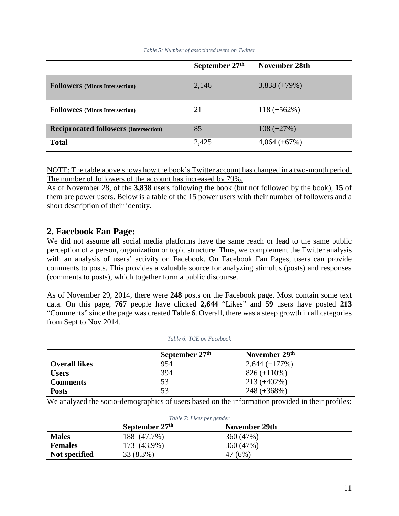|                                              | September 27th | November 28th  |
|----------------------------------------------|----------------|----------------|
| <b>Followers</b> (Minus Intersection)        | 2,146          | $3,838 (+79%)$ |
| <b>Followees</b> (Minus Intersection)        | 21             | $118 (+562\%)$ |
| <b>Reciprocated followers (Intersection)</b> | 85             | $108 (+27%)$   |
| <b>Total</b>                                 | 2,425          | $4,064 (+67%)$ |

*Table 5: Number of associated users on Twitter*

NOTE: The table above shows how the book's Twitter account has changed in a two-month period. The number of followers of the account has increased by 79%.

As of November 28, of the **3,838** users following the book (but not followed by the book), **15** of them are power users. Below is a table of the 15 power users with their number of followers and a short description of their identity.

### **2. Facebook Fan Page:**

We did not assume all social media platforms have the same reach or lead to the same public perception of a person, organization or topic structure. Thus, we complement the Twitter analysis with an analysis of users' activity on Facebook. On Facebook Fan Pages, users can provide comments to posts. This provides a valuable source for analyzing stimulus (posts) and responses (comments to posts), which together form a public discourse.

As of November 29, 2014, there were **248** posts on the Facebook page. Most contain some text data. On this page, **767** people have clicked **2,644** "Likes" and **59** users have posted **213** "Comments" since the page was created Table 6. Overall, there was a steep growth in all categories from Sept to Nov 2014.

|                      | September 27 <sup>th</sup> | November 29th   |  |
|----------------------|----------------------------|-----------------|--|
| <b>Overall likes</b> | 954                        | $2,644 (+177%)$ |  |
| <b>Users</b>         | 394                        | $826 (+110\%)$  |  |
| <b>Comments</b>      | 53                         | $213 (+402\%)$  |  |
| <b>Posts</b>         | 53                         | $248 (+368\%)$  |  |

*Table 6: TCE on Facebook*

We analyzed the socio-demographics of users based on the information provided in their profiles:

| Table 7: Likes per gender       |             |           |  |  |  |
|---------------------------------|-------------|-----------|--|--|--|
| September 27th<br>November 29th |             |           |  |  |  |
| <b>Males</b>                    | 188 (47.7%) | 360 (47%) |  |  |  |
| <b>Females</b>                  | 173 (43.9%) | 360 (47%) |  |  |  |
| Not specified                   | 33 (8.3%)   | 47 (6%)   |  |  |  |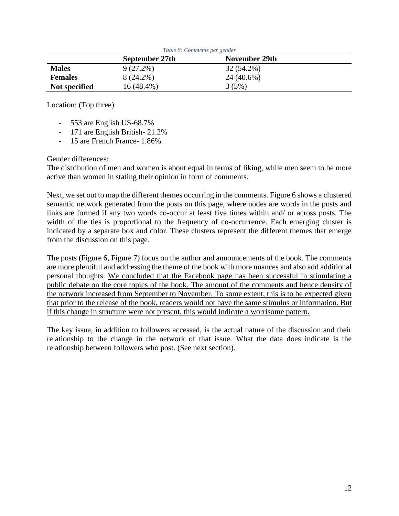| Table 8: Comments per gender    |             |            |  |  |  |
|---------------------------------|-------------|------------|--|--|--|
| September 27th<br>November 29th |             |            |  |  |  |
| <b>Males</b>                    | $9(27.2\%)$ | 32 (54.2%) |  |  |  |
| <b>Females</b>                  | 8 (24.2%)   | 24 (40.6%) |  |  |  |
| Not specified                   | 16 (48.4%)  | 3(5%)      |  |  |  |

Location: (Top three)

- 553 are English US-68.7%
- 171 are English British- 21.2%
- 15 are French France- 1.86%

Gender differences:

The distribution of men and women is about equal in terms of liking, while men seem to be more active than women in stating their opinion in form of comments.

Next, we set out to map the different themes occurring in the comments. Figure 6 shows a clustered semantic network generated from the posts on this page, where nodes are words in the posts and links are formed if any two words co-occur at least five times within and/ or across posts. The width of the ties is proportional to the frequency of co-occurrence. Each emerging cluster is indicated by a separate box and color. These clusters represent the different themes that emerge from the discussion on this page.

The posts (Figure 6, Figure 7) focus on the author and announcements of the book. The comments are more plentiful and addressing the theme of the book with more nuances and also add additional personal thoughts. We concluded that the Facebook page has been successful in stimulating a public debate on the core topics of the book. The amount of the comments and hence density of the network increased from September to November. To some extent, this is to be expected given that prior to the release of the book, readers would not have the same stimulus or information. But if this change in structure were not present, this would indicate a worrisome pattern.

The key issue, in addition to followers accessed, is the actual nature of the discussion and their relationship to the change in the network of that issue. What the data does indicate is the relationship between followers who post. (See next section).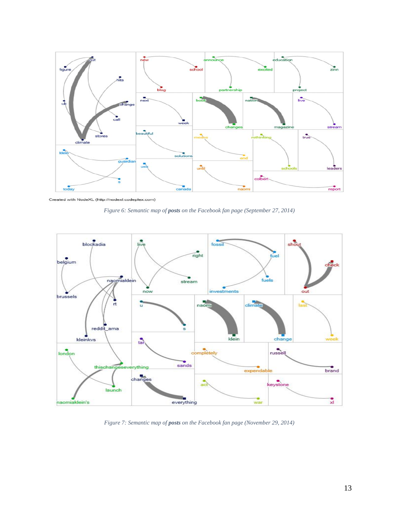

Created with NodeXL (http://nodexl.codeplex.com)





*Figure 7: Semantic map of posts on the Facebook fan page (November 29, 2014)*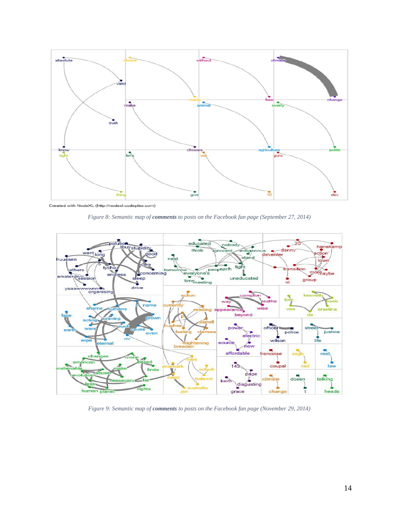

*Figure 8: Semantic map of comments to posts on the Facebook fan page (September 27, 2014)*



*Figure 9: Semantic map of comments to posts on the Facebook fan page (November 29, 2014)*